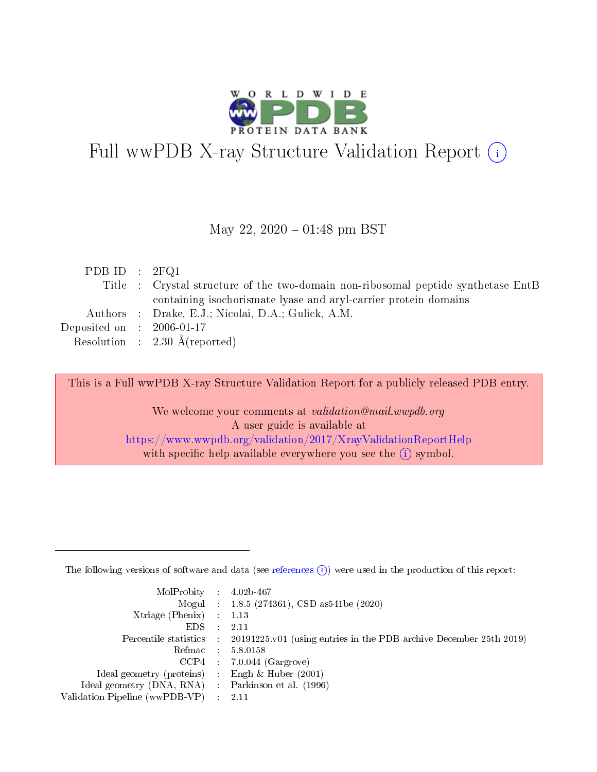

# Full wwPDB X-ray Structure Validation Report (i)

### May 22,  $2020 - 01:48$  pm BST

| PDB ID : $2FQ1$             |                                                                                   |
|-----------------------------|-----------------------------------------------------------------------------------|
|                             | Title : Crystal structure of the two-domain non-ribosomal peptide synthetase EntB |
|                             | containing isochorismate lyase and aryl-carrier protein domains                   |
|                             | Authors : Drake, E.J.; Nicolai, D.A.; Gulick, A.M.                                |
| Deposited on : $2006-01-17$ |                                                                                   |
|                             | Resolution : $2.30 \text{ Å}$ (reported)                                          |

This is a Full wwPDB X-ray Structure Validation Report for a publicly released PDB entry.

We welcome your comments at validation@mail.wwpdb.org A user guide is available at <https://www.wwpdb.org/validation/2017/XrayValidationReportHelp> with specific help available everywhere you see the  $(i)$  symbol.

The following versions of software and data (see [references](https://www.wwpdb.org/validation/2017/XrayValidationReportHelp#references)  $(1)$ ) were used in the production of this report:

| $MolProbability$ : 4.02b-467                      |                              |                                                                                            |
|---------------------------------------------------|------------------------------|--------------------------------------------------------------------------------------------|
|                                                   |                              | Mogul : $1.8.5$ (274361), CSD as 541be (2020)                                              |
| Xtriage (Phenix) $: 1.13$                         |                              |                                                                                            |
| EDS –                                             | $\sim$                       | -2.11                                                                                      |
|                                                   |                              | Percentile statistics : 20191225.v01 (using entries in the PDB archive December 25th 2019) |
| Refmac : 5.8.0158                                 |                              |                                                                                            |
| CCP4                                              |                              | $7.0.044$ (Gargrove)                                                                       |
| Ideal geometry (proteins)                         | $\mathcal{L}_{\mathrm{eff}}$ | Engh & Huber $(2001)$                                                                      |
| Ideal geometry (DNA, RNA) Parkinson et al. (1996) |                              |                                                                                            |
| Validation Pipeline (wwPDB-VP) : 2.11             |                              |                                                                                            |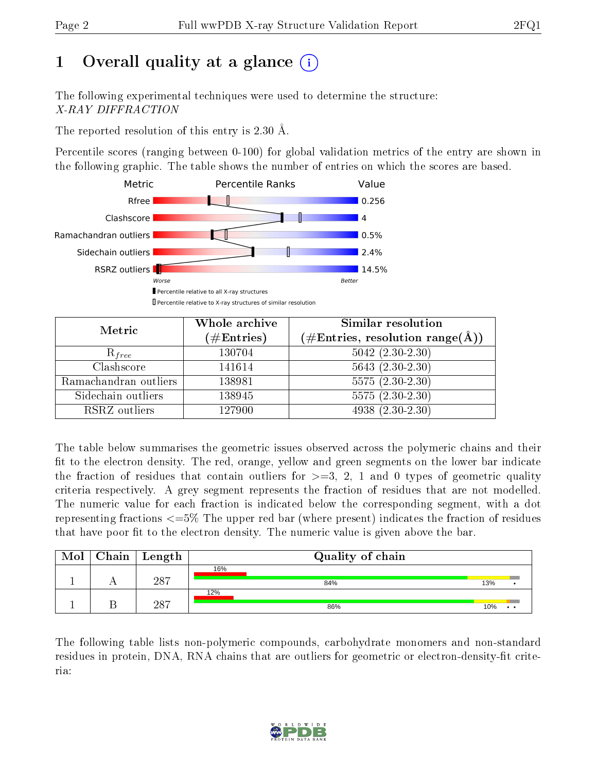# 1 [O](https://www.wwpdb.org/validation/2017/XrayValidationReportHelp#overall_quality)verall quality at a glance  $(i)$

The following experimental techniques were used to determine the structure: X-RAY DIFFRACTION

The reported resolution of this entry is 2.30 Å.

Percentile scores (ranging between 0-100) for global validation metrics of the entry are shown in the following graphic. The table shows the number of entries on which the scores are based.



| Metric                | Whole archive<br>$(\#\text{Entries})$ | <b>Similar resolution</b><br>$(\#\text{Entries}, \text{resolution range}(\text{\AA}))$ |
|-----------------------|---------------------------------------|----------------------------------------------------------------------------------------|
| $R_{free}$            | 130704                                | $5042$ $(2.30-2.30)$                                                                   |
| Clashscore            | 141614                                | $5643(2.30-2.30)$                                                                      |
| Ramachandran outliers | 138981                                | $5575(2.30-2.30)$                                                                      |
| Sidechain outliers    | 138945                                | $5575(2.30-2.30)$                                                                      |
| RSRZ outliers         | 127900                                | 4938 (2.30-2.30)                                                                       |

The table below summarises the geometric issues observed across the polymeric chains and their fit to the electron density. The red, orange, yellow and green segments on the lower bar indicate the fraction of residues that contain outliers for  $\geq=3$ , 2, 1 and 0 types of geometric quality criteria respectively. A grey segment represents the fraction of residues that are not modelled. The numeric value for each fraction is indicated below the corresponding segment, with a dot representing fractions  $\epsilon=5\%$  The upper red bar (where present) indicates the fraction of residues that have poor fit to the electron density. The numeric value is given above the bar.

| Mol | $Chain$ Length | Quality of chain |                            |
|-----|----------------|------------------|----------------------------|
|     |                | 16%              |                            |
|     | 287            | 84%              | 13%                        |
|     |                | 12%              |                            |
|     | 287            | 86%              | 10%<br>$\bullet$ $\bullet$ |

The following table lists non-polymeric compounds, carbohydrate monomers and non-standard residues in protein, DNA, RNA chains that are outliers for geometric or electron-density-fit criteria:

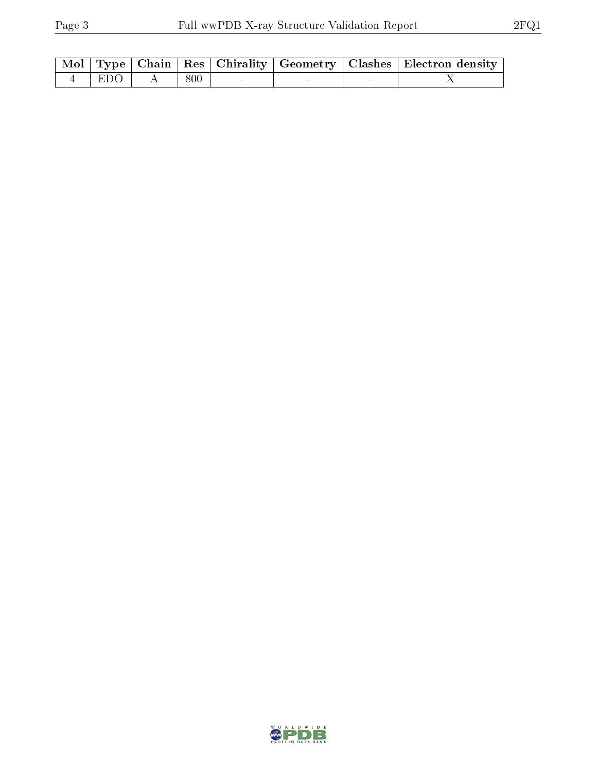|           |       |  | Mol   Type   Chain   Res   Chirality   Geometry   Clashes   Electron density |
|-----------|-------|--|------------------------------------------------------------------------------|
| $4$   EDO | - 800 |  |                                                                              |

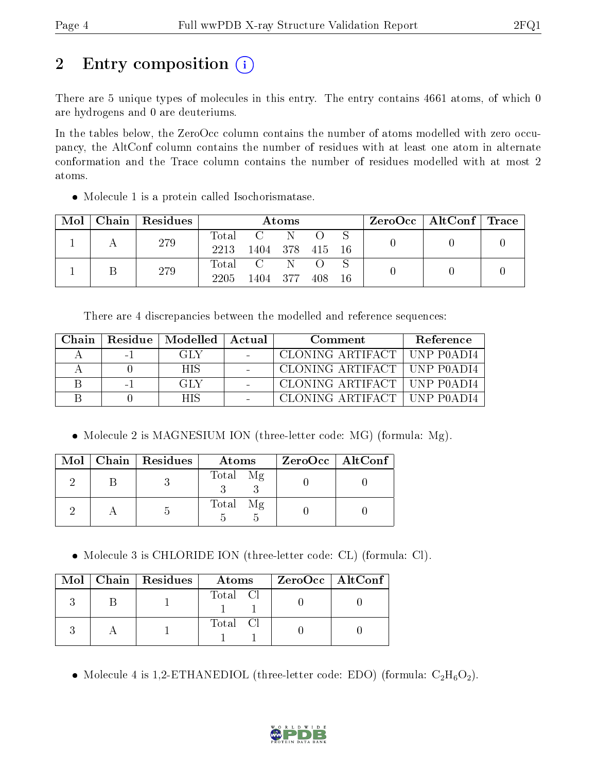# 2 Entry composition  $\left( \cdot \right)$

There are 5 unique types of molecules in this entry. The entry contains 4661 atoms, of which 0 are hydrogens and 0 are deuteriums.

In the tables below, the ZeroOcc column contains the number of atoms modelled with zero occupancy, the AltConf column contains the number of residues with at least one atom in alternate conformation and the Trace column contains the number of residues modelled with at most 2 atoms.

• Molecule 1 is a protein called Isochorismatase.

| Mol | Chain   Residues |                          |                            | Atoms |     |     | $\rm ZeroOcc \mid AltConf \mid Trace$ |  |
|-----|------------------|--------------------------|----------------------------|-------|-----|-----|---------------------------------------|--|
|     | 279              | Total<br>2213            | 1404 378 415 16            | -N    |     |     |                                       |  |
|     | 279              | $\mathrm{Total}$<br>2205 | $\overline{C}$<br>1404 377 |       | 408 | -16 |                                       |  |

There are 4 discrepancies between the modelled and reference sequences:

| Chain |          | Residue   Modelled   Actual | Comment                       | <b>Reference</b> |
|-------|----------|-----------------------------|-------------------------------|------------------|
|       | $\sim$   | GT Y                        | CLONING ARTIFACT   UNP P0ADI4 |                  |
|       |          | <b>HIS</b>                  | CLONING ARTIFACT   UNP P0ADI4 |                  |
|       | $\sim$ 1 | <b>GH</b> Y                 | CLONING ARTIFACT   UNP P0ADI4 |                  |
|       |          | HIS                         | CLONING ARTIFACT   UNP P0ADI4 |                  |

• Molecule 2 is MAGNESIUM ION (three-letter code: MG) (formula: Mg).

|  | Mol   Chain   Residues | Atoms    | $ZeroOcc$   AltConf |
|--|------------------------|----------|---------------------|
|  |                        | Total Mg |                     |
|  |                        | Total Mg |                     |

Molecule 3 is CHLORIDE ION (three-letter code: CL) (formula: Cl).

|  | $\text{Mol}$   Chain   Residues | Atoms    | $\ $ ZeroOcc $\ $ AltConf $\ $ |
|--|---------------------------------|----------|--------------------------------|
|  |                                 | Total Cl |                                |
|  |                                 | Total Cl |                                |

• Molecule 4 is 1,2-ETHANEDIOL (three-letter code: EDO) (formula:  $C_2H_6O_2$ ).

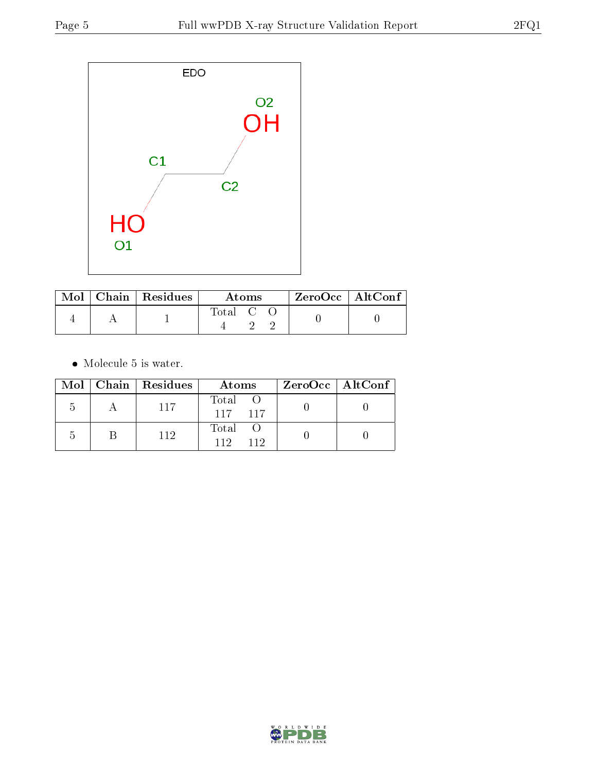

|  | $\text{Mol}$   Chain   Residues | Atoms                             |  |  | $\rm ZeroOcc$   Alt $\rm Conf$ |  |
|--|---------------------------------|-----------------------------------|--|--|--------------------------------|--|
|  |                                 | $\mathrm{Total} \quad \mathrm{C}$ |  |  |                                |  |

 $\bullet\,$  Molecule 5 is water.

|  | Mol   Chain   Residues | Atoms               | ZeroOcc   AltConf |
|--|------------------------|---------------------|-------------------|
|  | 117                    | Total<br>117 117    |                   |
|  | 112                    | Total<br>119<br>119 |                   |

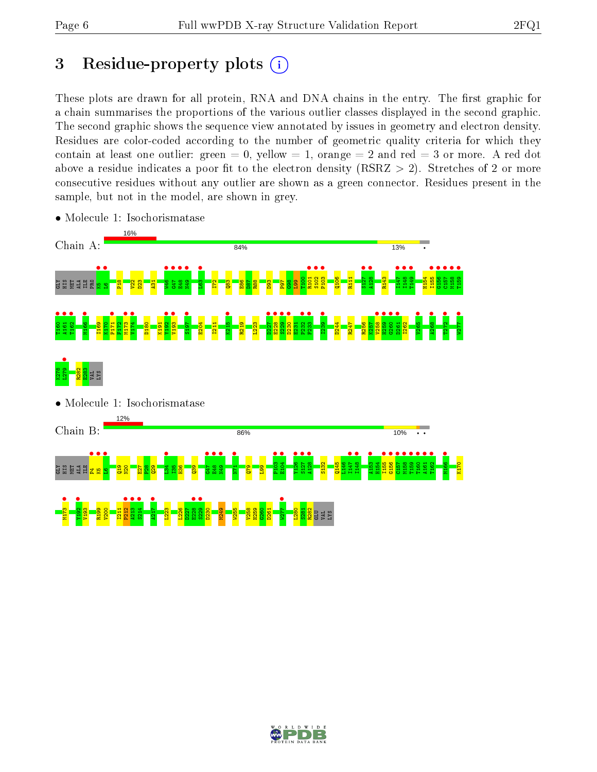# 3 Residue-property plots  $(i)$

These plots are drawn for all protein, RNA and DNA chains in the entry. The first graphic for a chain summarises the proportions of the various outlier classes displayed in the second graphic. The second graphic shows the sequence view annotated by issues in geometry and electron density. Residues are color-coded according to the number of geometric quality criteria for which they contain at least one outlier: green  $= 0$ , yellow  $= 1$ , orange  $= 2$  and red  $= 3$  or more. A red dot above a residue indicates a poor fit to the electron density (RSRZ  $> 2$ ). Stretches of 2 or more consecutive residues without any outlier are shown as a green connector. Residues present in the sample, but not in the model, are shown in grey.



• Molecule 1: Isochorismatase

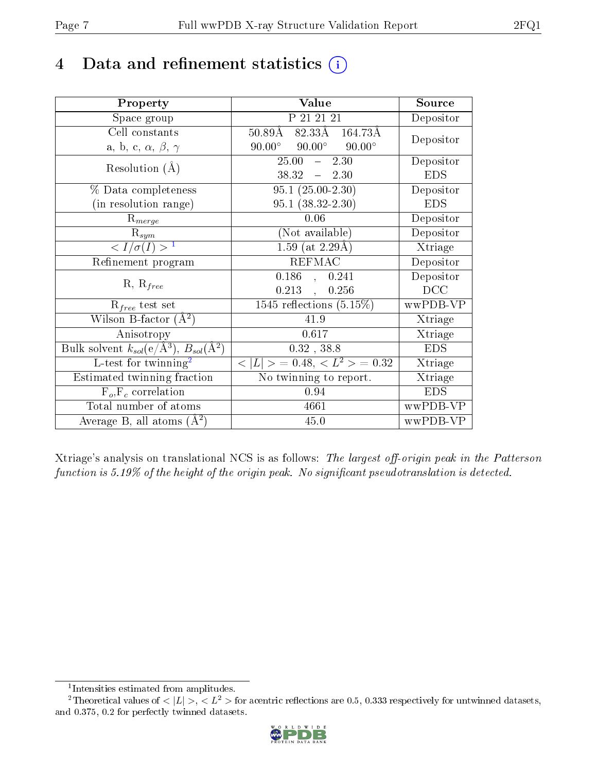# 4 Data and refinement statistics  $(i)$

| Property                                                         | Value                                            | Source     |
|------------------------------------------------------------------|--------------------------------------------------|------------|
| Space group                                                      | P 21 21 21                                       | Depositor  |
| Cell constants                                                   | $82.3\overline{3A}$ 164.73Å<br>$50.89\text{\AA}$ | Depositor  |
| a, b, c, $\alpha$ , $\beta$ , $\gamma$                           | $90.00^{\circ}$ $90.00^{\circ}$<br>$90.00^\circ$ |            |
| Resolution $(A)$                                                 | 25.00<br>2.30<br>$\frac{1}{2}$                   | Depositor  |
|                                                                  | $38.32 - 2.30$                                   | <b>EDS</b> |
| % Data completeness                                              | $95.1(25.00-2.30)$                               | Depositor  |
| (in resolution range)                                            | $95.1(38.32-2.30)$                               | <b>EDS</b> |
| $\mathrm{R}_{merge}$                                             | 0.06                                             | Depositor  |
| $\mathrm{R}_{sym}$                                               | (Not available)                                  | Depositor  |
| $\langle I/\sigma(I) \rangle^{-1}$                               | $1.59$ (at 2.29Å)                                | Xtriage    |
| Refinement program                                               | <b>REFMAC</b>                                    | Depositor  |
| $R, R_{free}$                                                    | $0.186$ ,<br>0.241                               | Depositor  |
|                                                                  | $0.213$ ,<br>0.256                               | DCC        |
| $R_{free}$ test set                                              | 1545 reflections $(5.15\%)$                      | wwPDB-VP   |
| Wilson B-factor $(A^2)$                                          | 41.9                                             | Xtriage    |
| Anisotropy                                                       | 0.617                                            | Xtriage    |
| Bulk solvent $k_{sol}(\text{e}/\text{A}^3), B_{sol}(\text{A}^2)$ | $0.32$ , 38.8                                    | <b>EDS</b> |
| L-test for twinning <sup>2</sup>                                 | $< L >$ = 0.48, $< L^2 >$ = 0.32                 | Xtriage    |
| Estimated twinning fraction                                      | No twinning to report.                           | Xtriage    |
| $F_o, F_c$ correlation                                           | 0.94                                             | <b>EDS</b> |
| Total number of atoms                                            | 4661                                             | wwPDB-VP   |
| Average B, all atoms $(A^2)$                                     | 45.0                                             | wwPDB-VP   |

Xtriage's analysis on translational NCS is as follows: The largest off-origin peak in the Patterson function is  $5.19\%$  of the height of the origin peak. No significant pseudotranslation is detected.

<sup>&</sup>lt;sup>2</sup>Theoretical values of  $\langle |L| \rangle$ ,  $\langle L^2 \rangle$  for acentric reflections are 0.5, 0.333 respectively for untwinned datasets, and 0.375, 0.2 for perfectly twinned datasets.



<span id="page-6-1"></span><span id="page-6-0"></span><sup>1</sup> Intensities estimated from amplitudes.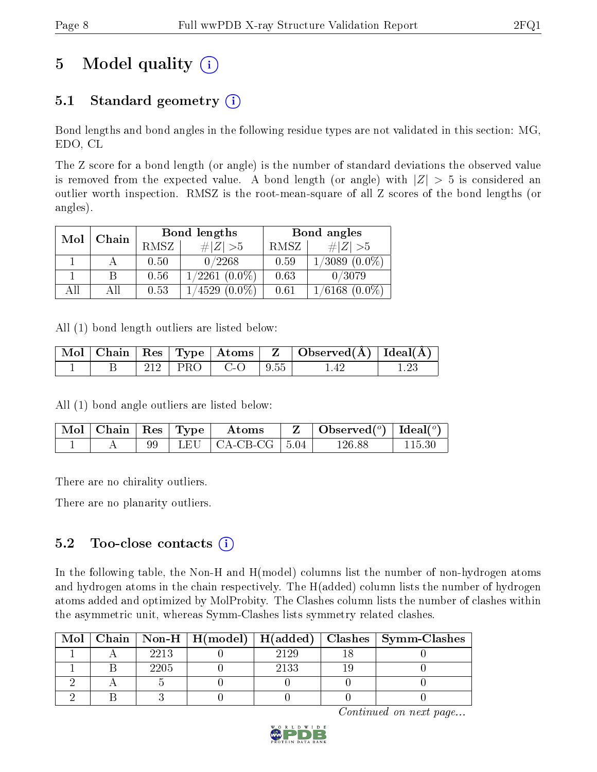# 5 Model quality  $(i)$

# 5.1 Standard geometry  $(i)$

Bond lengths and bond angles in the following residue types are not validated in this section: MG, EDO, CL

The Z score for a bond length (or angle) is the number of standard deviations the observed value is removed from the expected value. A bond length (or angle) with  $|Z| > 5$  is considered an outlier worth inspection. RMSZ is the root-mean-square of all Z scores of the bond lengths (or angles).

| Mol | Chain |      | Bond lengths       | Bond angles |                    |
|-----|-------|------|--------------------|-------------|--------------------|
|     |       | RMSZ | $\# Z >5$          | RMSZ        | # $ Z  > 5$        |
|     |       | 0.50 | 0/2268             | 0.59        | $1/3089$ $(0.0\%)$ |
|     |       | 0.56 | $1/2261$ $(0.0\%)$ | 0.63        | 0/3079             |
| All | Аll   | 0.53 | $1/4529(0.0\%)$    | 0.61        | $1/6168$ $(0.0\%)$ |

All (1) bond length outliers are listed below:

|  |        |                | $\mid$ Mol $\mid$ Chain $\mid$ Res $\mid$ Type $\mid$ Atoms $\mid$ Z $\mid$ Observed(Å) $\mid$ Ideal(Å) $\mid$ |  |
|--|--------|----------------|----------------------------------------------------------------------------------------------------------------|--|
|  | -212 l | PRO  CO   9.55 |                                                                                                                |  |

All (1) bond angle outliers are listed below:

| $\mid$ Mol $\mid$ Chain $\mid$ Res $\mid$ Type $\mid$ |  | Atoms                             | Observed( $^o$ )   Ideal( $^o$ ) |  |
|-------------------------------------------------------|--|-----------------------------------|----------------------------------|--|
|                                                       |  | LEU $\vert$ CA-CB-CG $\vert$ 5.04 | 126.88                           |  |

There are no chirality outliers.

There are no planarity outliers.

### $5.2$  Too-close contacts  $\overline{()}$

In the following table, the Non-H and H(model) columns list the number of non-hydrogen atoms and hydrogen atoms in the chain respectively. The H(added) column lists the number of hydrogen atoms added and optimized by MolProbity. The Clashes column lists the number of clashes within the asymmetric unit, whereas Symm-Clashes lists symmetry related clashes.

| Mol |      |      | Chain   Non-H   H(model)   H(added)   Clashes   Symm-Clashes |
|-----|------|------|--------------------------------------------------------------|
|     | 2213 | 2129 |                                                              |
|     | 2205 | 2133 |                                                              |
|     |      |      |                                                              |
|     |      |      |                                                              |

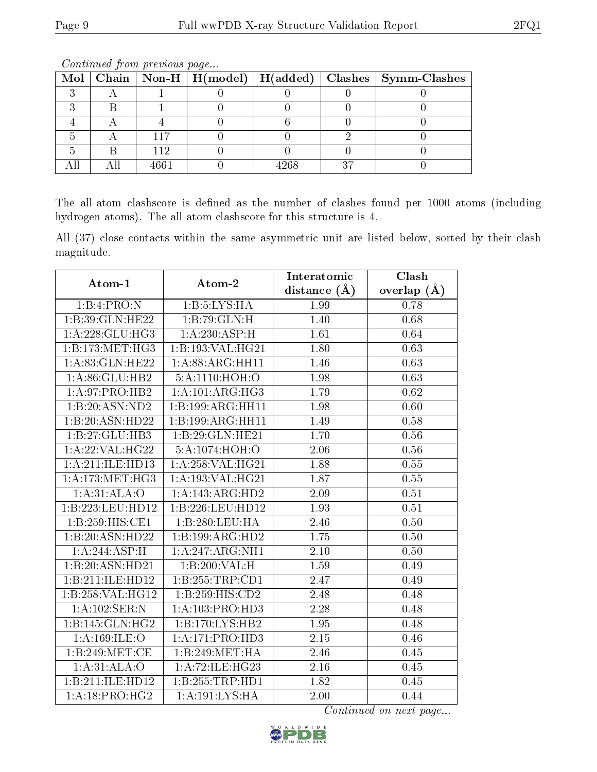|  |      |      | Mol   Chain   Non-H   H(model)   $\overline{H}(added)$   Clashes   Symm-Clashes |
|--|------|------|---------------------------------------------------------------------------------|
|  |      |      |                                                                                 |
|  |      |      |                                                                                 |
|  |      |      |                                                                                 |
|  |      |      |                                                                                 |
|  | 112  |      |                                                                                 |
|  | 4661 | idrs |                                                                                 |

Continued from previous page...

The all-atom clashscore is defined as the number of clashes found per 1000 atoms (including hydrogen atoms). The all-atom clashscore for this structure is 4.

All (37) close contacts within the same asymmetric unit are listed below, sorted by their clash magnitude.

| Atom-1            | Atom-2             | Interatomic       | Clash         |  |
|-------------------|--------------------|-------------------|---------------|--|
|                   |                    | distance $(A)$    | overlap $(A)$ |  |
| 1:B:4:PRO:N       | 1: B: 5: LYS: HA   | 1.99              | 0.78          |  |
| 1:B:39:GLN:HE22   | 1:B:79:GLN:H       | 1.40              | 0.68          |  |
| 1:A:228:GLU:HG3   | 1: A:230:ASP:H     | 1.61              | 0.64          |  |
| 1:B:173:MET:HG3   | 1:B:193:VAL:HG21   | $\overline{1.80}$ | 0.63          |  |
| 1:A:83:GLN:HE22   | 1:A:88:ARG:HH11    | 1.46              | 0.63          |  |
| 1:A:86:GLU:HB2    | 5:A:1110:HOH:O     | 1.98              | 0.63          |  |
| 1: A:97: PRO:HB2  | 1:A:101:ARG:HG3    | 1.79              | 0.62          |  |
| 1:B:20:ASN:ND2    | 1:B:199:ARG:HH11   | 1.98              | 0.60          |  |
| 1:B:20:ASN:HD22   | 1:B:199:ARG:HH11   | 1.49              | 0.58          |  |
| 1:B:27:GLU:HB3    | 1:B:29:GLN:HE21    | 1.70              | 0.56          |  |
| 1:A:22:VAL:HG22   | 5:A:1074:HOH:O     | 2.06              | 0.56          |  |
| 1:A:211:ILE:HD13  | 1:A:258:VAL:HG21   | 1.88              | 0.55          |  |
| 1: A:173:MET:HG3  | 1:A:193:VAL:HG21   | 1.87              | 0.55          |  |
| 1:A:31:ALA:O      | 1:A:143:ARG:HD2    | 2.09              | 0.51          |  |
| 1:B:223:LEU:HD12  | 1:B:226:LEU:HD12   | 1.93              | 0.51          |  |
| 1:B:259:HIS:CE1   | 1:B:280:LEU:HA     | 2.46              | 0.50          |  |
| 1:B:20:ASN:HD22   | 1:B:199:ARG:HD2    | 1.75              | 0.50          |  |
| 1:A:244:ASP:H     | 1:A:247:ARG:NH1    | $\overline{2.10}$ | 0.50          |  |
| 1:B:20:ASN:HD21   | 1:B:200:VAL:H      | 1.59              | 0.49          |  |
| 1:B:211:ILE:HD12  | 1:B:255:TRP:CD1    | 2.47              | 0.49          |  |
| 1:B:258:VAL:HG12  | 1:B:259:HIS:CD2    | 2.48              | 0.48          |  |
| 1: A: 102: SER: N | 1:A:103:PRO:HD3    | 2.28              | 0.48          |  |
| 1:B:145:GLN:HG2   | 1:B:170:LYS:HB2    | 1.95              | 0.48          |  |
| 1: A: 169: ILE: O | 1:A:171:PRO:HD3    | 2.15              | 0.46          |  |
| 1:B:249:MET:CE    | 1:B:249:MET:HA     | 2.46              | 0.45          |  |
| 1:A:31:ALA:O      | 1: A:72: ILE: HG23 | 2.16              | 0.45          |  |
| 1:B:211:ILE:HD12  | 1:B:255:TRP:HD1    | 1.82              | 0.45          |  |
| 1:A:18:PRO:HG2    | 1: A: 191: LYS: HA | 2.00              | 0.44          |  |

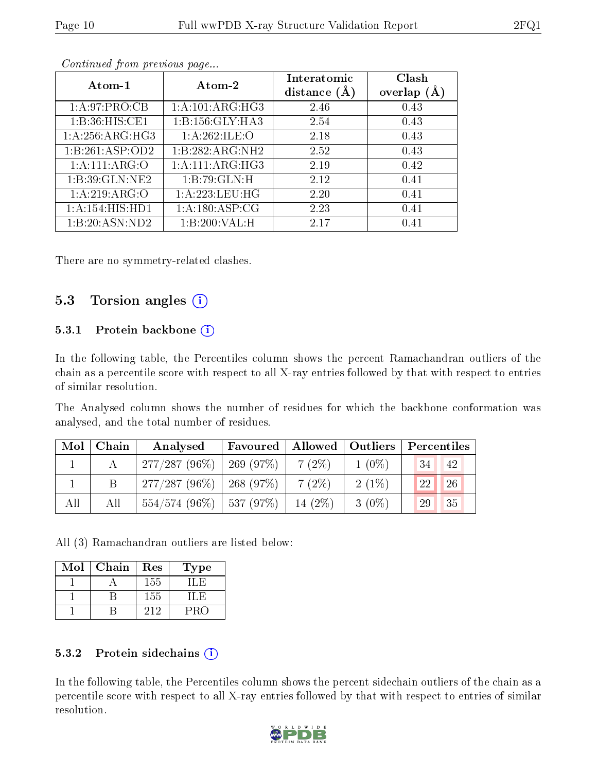| Atom-1          | Atom-2             | Interatomic<br>distance $(A)$ | Clash<br>overlap $(A)$ |
|-----------------|--------------------|-------------------------------|------------------------|
| 1: A:97: PRO:CB | 1:A:101:ARG:HG3    | 2.46                          | 0.43                   |
| 1:B:36:HIS:CE1  | 1: B:156: GLY:HA3  | 2.54                          | 0.43                   |
| 1:A:256:ARG:HG3 | 1:A:262:ILE:O      | 2.18                          | 0.43                   |
| 1:B:261:ASP:OD2 | 1:B:282:ARG:NH2    | 2.52                          | 0.43                   |
| 1: A:111: ARG:O | 1: A:111:ARG:HG3   | 2.19                          | 0.42                   |
| 1:B:39:GLN:NE2  | 1:B:79:GLN:H       | 2.12                          | 0.41                   |
| 1: A:219: ARG:O | 1:A:223:LEU:HG     | 2.20                          | 0.41                   |
| 1:A:154:HIS:HD1 | 1: A: 180: ASP: CG | 2.23                          | 0.41                   |
| 1:B:20:ASN:ND2  | 1:B:200:VAL:H      | 2.17                          | 0.41                   |

Continued from previous page...

There are no symmetry-related clashes.

### 5.3 Torsion angles (i)

### 5.3.1 Protein backbone  $(i)$

In the following table, the Percentiles column shows the percent Ramachandran outliers of the chain as a percentile score with respect to all X-ray entries followed by that with respect to entries of similar resolution.

The Analysed column shows the number of residues for which the backbone conformation was analysed, and the total number of residues.

| Mol | Chain | Analysed                      | Favoured   Allowed   Outliers |           |          | Percentiles |  |
|-----|-------|-------------------------------|-------------------------------|-----------|----------|-------------|--|
|     |       | $277/287(96\%)$               | 269(97%)                      | $7(2\%)$  | $1(0\%)$ | 34<br>42    |  |
|     |       | $277/287 (96\%)$   268 (97\%) |                               | $7(2\%)$  | $2(1\%)$ | 26<br>22    |  |
| All | All   | $554/574$ (96\%)   537 (97\%) |                               | $14(2\%)$ | $3(0\%)$ | 29<br>135   |  |

All (3) Ramachandran outliers are listed below:

| Mol | Chain | Res | Type    |
|-----|-------|-----|---------|
|     |       | 155 |         |
|     |       | 155 | I I . H |
|     |       | 212 | PRC     |

### 5.3.2 Protein sidechains (i)

In the following table, the Percentiles column shows the percent sidechain outliers of the chain as a percentile score with respect to all X-ray entries followed by that with respect to entries of similar resolution.

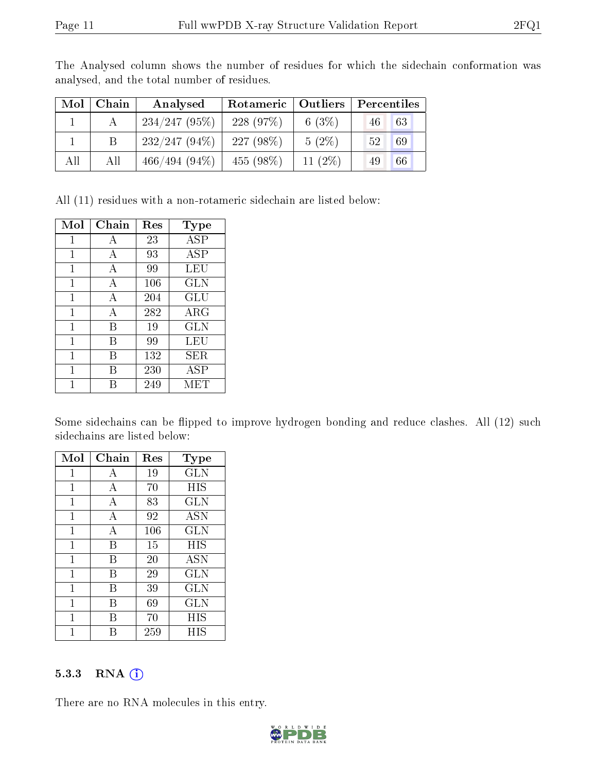| Mol | Chain | Analysed        | Rotameric    | Outliers  | Percentiles |
|-----|-------|-----------------|--------------|-----------|-------------|
|     |       | 234/247(95%)    | 228(97%)     | 6 $(3%)$  | 63<br>46    |
|     | B.    | $232/247(94\%)$ | 227 $(98\%)$ | $5(2\%)$  | $-52$<br>69 |
| All | All   | $466/494(94\%)$ | $455(98\%)$  | 11 $(2%)$ | 49<br>66    |

The Analysed column shows the number of residues for which the sidechain conformation was analysed, and the total number of residues.

All (11) residues with a non-rotameric sidechain are listed below:

| Mol          | ${\bf Chain}$ | $\operatorname{Res}% \left( \mathcal{N}\right) \equiv\operatorname{Res}(\mathcal{N}_{0})\cap\mathcal{N}_{1}$ | Type              |
|--------------|---------------|--------------------------------------------------------------------------------------------------------------|-------------------|
| 1            | А             | 23                                                                                                           | ASP               |
| 1            | А             | 93                                                                                                           | $\overline{A}$ SP |
| 1            | А             | 99                                                                                                           | LEU               |
| 1            | A             | 106                                                                                                          | GLN               |
| $\mathbf{1}$ | А             | 204                                                                                                          | GLU               |
| 1            | А             | 282                                                                                                          | ${\rm ARG}$       |
| 1            | В             | 19                                                                                                           | <b>GLN</b>        |
| 1            | В             | 99                                                                                                           | LEU               |
| 1            | В             | 132                                                                                                          | SER               |
| 1            | В             | 230                                                                                                          | ASP               |
| 1            |               | 249                                                                                                          | MET               |

Some sidechains can be flipped to improve hydrogen bonding and reduce clashes. All (12) such sidechains are listed below:

| Mol          | Chain | Res | Type         |
|--------------|-------|-----|--------------|
| 1            | А     | 19  | GLN          |
| 1            | А     | 70  | <b>HIS</b>   |
| 1            | A     | 83  | <b>GLN</b>   |
| $\mathbf{1}$ | А     | 92  | <b>ASN</b>   |
| 1            | А     | 106 | GLN          |
| 1            | B     | 15  | HIS          |
| 1            | В     | 20  | <b>ASN</b>   |
| 1            | В     | 29  | <b>GLN</b>   |
| 1            | В     | 39  | GLN          |
| 1            | В     | 69  | $_{\rm GLN}$ |
| 1            | R     | 70  | HIS          |
| 1            | R     | 259 | HIS          |

#### 5.3.3 RNA [O](https://www.wwpdb.org/validation/2017/XrayValidationReportHelp#rna)i

There are no RNA molecules in this entry.

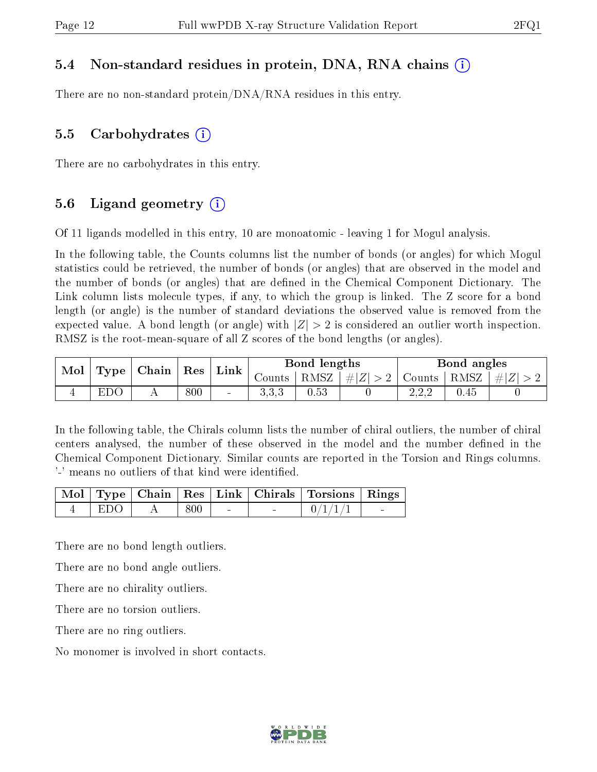### 5.4 Non-standard residues in protein, DNA, RNA chains (i)

There are no non-standard protein/DNA/RNA residues in this entry.

### 5.5 Carbohydrates (i)

There are no carbohydrates in this entry.

### 5.6 Ligand geometry (i)

Of 11 ligands modelled in this entry, 10 are monoatomic - leaving 1 for Mogul analysis.

In the following table, the Counts columns list the number of bonds (or angles) for which Mogul statistics could be retrieved, the number of bonds (or angles) that are observed in the model and the number of bonds (or angles) that are dened in the Chemical Component Dictionary. The Link column lists molecule types, if any, to which the group is linked. The Z score for a bond length (or angle) is the number of standard deviations the observed value is removed from the expected value. A bond length (or angle) with  $|Z| > 2$  is considered an outlier worth inspection. RMSZ is the root-mean-square of all Z scores of the bond lengths (or angles).

| Mol<br>Type |     | $\mid$ Chain | $\mid$ Res |                | Bond lengths<br>Link |          |         |              | Bond angles     |  |  |
|-------------|-----|--------------|------------|----------------|----------------------|----------|---------|--------------|-----------------|--|--|
|             |     |              |            |                | Counts               | $RMSZ_1$ | $\# Z $ | Counts       | $ RMSZ  \#  Z $ |  |  |
|             | EDC |              | 800        | $\blacksquare$ | ດ ດ ດ<br>U.U.U       | 0.53     |         | റററ<br>4.4.4 | 0.45            |  |  |

In the following table, the Chirals column lists the number of chiral outliers, the number of chiral centers analysed, the number of these observed in the model and the number defined in the Chemical Component Dictionary. Similar counts are reported in the Torsion and Rings columns. '-' means no outliers of that kind were identified.

|       |     |                                   |                          | Mol   Type   Chain   Res   Link   Chirals   Torsions   Rings |  |
|-------|-----|-----------------------------------|--------------------------|--------------------------------------------------------------|--|
| ' EDO | 800 | <b>Contract Contract Contract</b> | <b>Contract Contract</b> | 0/1/1/1                                                      |  |

There are no bond length outliers.

There are no bond angle outliers.

There are no chirality outliers.

There are no torsion outliers.

There are no ring outliers.

No monomer is involved in short contacts.

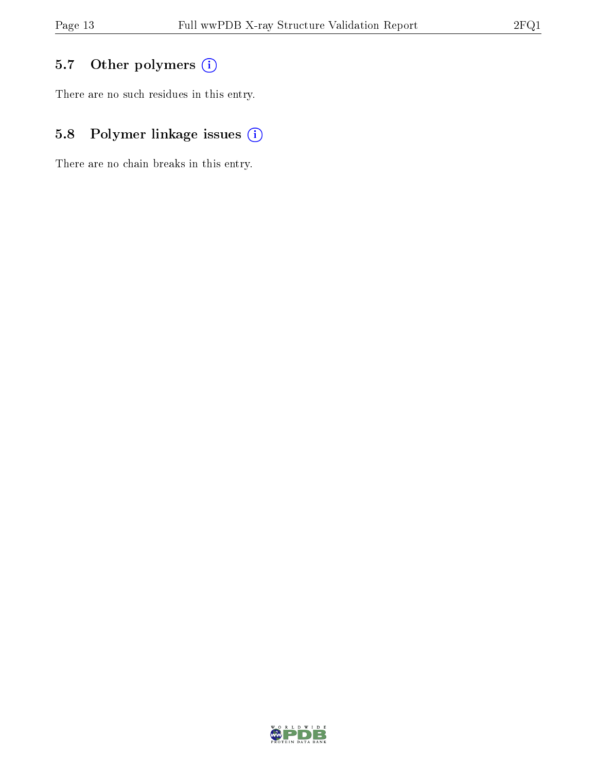# 5.7 [O](https://www.wwpdb.org/validation/2017/XrayValidationReportHelp#nonstandard_residues_and_ligands)ther polymers (i)

There are no such residues in this entry.

# 5.8 Polymer linkage issues (i)

There are no chain breaks in this entry.

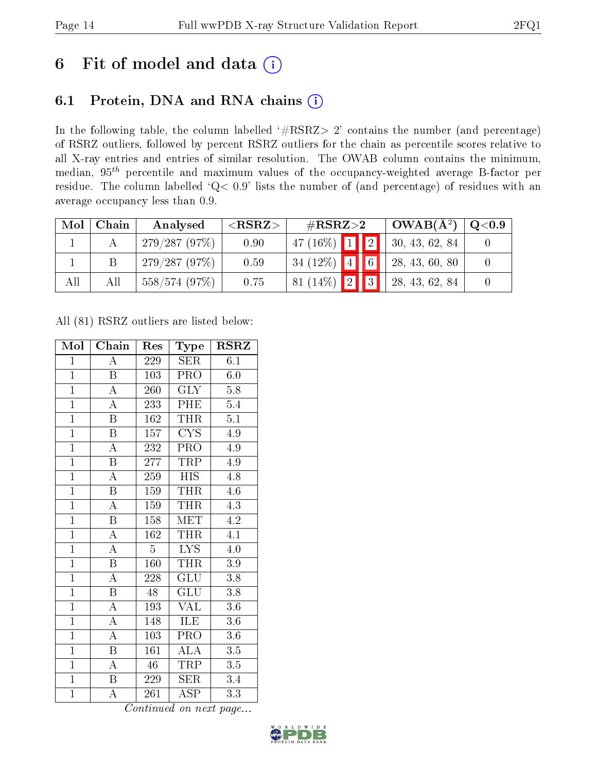# 6 Fit of model and data  $(i)$

### 6.1 Protein, DNA and RNA chains  $(i)$

In the following table, the column labelled  $#RSRZ> 2'$  contains the number (and percentage) of RSRZ outliers, followed by percent RSRZ outliers for the chain as percentile scores relative to all X-ray entries and entries of similar resolution. The OWAB column contains the minimum, median,  $95<sup>th</sup>$  percentile and maximum values of the occupancy-weighted average B-factor per residue. The column labelled ' $Q< 0.9$ ' lists the number of (and percentage) of residues with an average occupancy less than 0.9.

| Mol | Chain | Analysed     | ${ <\hspace{-1.5pt}{\mathrm{RSRZ}} \hspace{-1.5pt}>}$ | $\#\text{RSRZ}{>}2$ |             | $OWAB(A^2)$    | $\rm Q\textcolor{black}{<}0.9$ |
|-----|-------|--------------|-------------------------------------------------------|---------------------|-------------|----------------|--------------------------------|
|     |       | 279/287(97%) | 0.90                                                  | 47 (16\%) $1$   2   |             | 30, 43, 62, 84 |                                |
|     |       | 279/287(97%) | 0.59                                                  | 34 (12\%) 4         | $\boxed{6}$ | 28, 43, 60, 80 |                                |
| All | Αll   | 558/574(97%) | 0.75                                                  | 81 (14\%)   2     3 |             | 28, 43, 62, 84 |                                |

All (81) RSRZ outliers are listed below:

| Mol            | Chain                   | Res             | <b>Type</b>             | <b>RSRZ</b>      |
|----------------|-------------------------|-----------------|-------------------------|------------------|
| $\mathbf{1}$   | A                       | 229             | SER                     | 6.1              |
| $\mathbf{1}$   | $\boldsymbol{B}$        | 103             | PRO                     | $6.0\,$          |
| $\overline{1}$ | $\overline{\rm A}$      | 260             | $\overline{\text{GLY}}$ | 5.8              |
| $\overline{1}$ | $\overline{\rm A}$      | 233             | PHE                     | $5.4\,$          |
| $\overline{1}$ | $\overline{\mathrm{B}}$ | 162             | <b>THR</b>              | $\overline{5.1}$ |
| $\overline{1}$ | B                       | 157             | $\overline{\text{CYS}}$ | 4.9              |
| $\overline{1}$ | $\overline{\rm A}$      | 232             | PRO                     | 4.9              |
| $\overline{1}$ | $\overline{\mathbf{B}}$ | 277             | TRP                     | 4.9              |
| $\overline{1}$ | $\overline{\rm A}$      | 259             | <b>HIS</b>              | 4.8              |
| $\overline{1}$ | $\overline{\mathrm{B}}$ | 159             | <b>THR</b>              | 4.6              |
| $\overline{1}$ | $\overline{\rm A}$      | 159             | <b>THR</b>              | $\overline{4.3}$ |
| $\overline{1}$ | $\overline{\mathrm{B}}$ | 158             | <b>MET</b>              | $\overline{4.2}$ |
| $\overline{1}$ | $\overline{\rm A}$      | 162             | <b>THR</b>              | 4.1              |
| $\overline{1}$ | $\overline{\rm A}$      | $\overline{5}$  | <b>LYS</b>              | 4.0              |
| $\overline{1}$ | $\overline{\mathrm{B}}$ | 160             | <b>THR</b>              | $\overline{3.9}$ |
| $\mathbf{1}$   | $\mathbf{A}$            | 228             | $GL\overline{U}$        | 3.8              |
| $\overline{1}$ | $\overline{\mathrm{B}}$ | $\overline{48}$ | $\overline{{\rm GLU}}$  | $\overline{3.8}$ |
| $\mathbf{1}$   | A                       | 193             | <b>VAL</b>              | 3.6              |
| $\overline{1}$ | $\boldsymbol{A}$        | 148             | ILE                     | 3.6              |
| $\overline{1}$ | $\overline{\rm A}$      | 103             | PRO                     | 3.6              |
| $\mathbf{1}$   | $\boldsymbol{B}$        | 161             | <b>ALA</b>              | 3.5              |
| $\overline{1}$ | A                       | 46              | TRP                     | $3.5\,$          |
| $\overline{1}$ | B                       | 229             | SER                     | $3.4\,$          |
| $\overline{1}$ | $\overline{\rm A}$      | 261             | $\overline{\text{ASP}}$ | 3.3              |

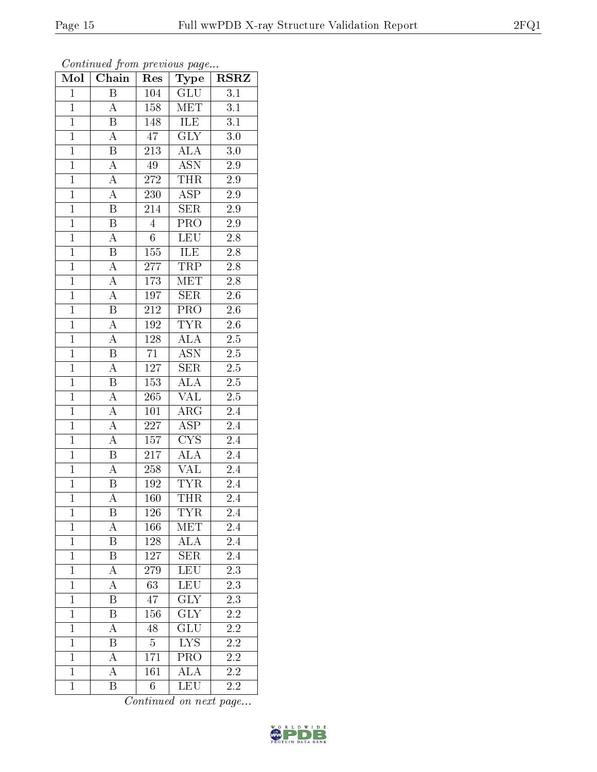| Mol            | Chain                   | Res              | Type                            | $RS\overline{R}\overline{Z}$ |
|----------------|-------------------------|------------------|---------------------------------|------------------------------|
| $\mathbf{1}$   | $\overline{\mathrm{B}}$ | 104              | GLU                             | 3.1                          |
| $\mathbf{1}$   | A                       | 158              | MET                             | 3.1                          |
| $\mathbf{1}$   | B                       | 148              | $\overline{\text{ILE}}$         | $\overline{3.1}$             |
| $\overline{1}$ | A                       | 47               | $\overline{\text{GLY}}$         | 3.0                          |
| $\mathbf{1}$   | B                       | 213              | $\overline{\rm ALA}$            | 3.0                          |
| $\mathbf{1}$   | A                       | 49               | <b>ASN</b>                      | 2.9                          |
| $\mathbf{1}$   | A                       | 272              | <b>THR</b>                      | 2.9                          |
| $\overline{1}$ | $\overline{\rm A}$      | 230              | $\overline{\text{ASP}}$         | $2.9\,$                      |
| $\mathbf{1}$   | B                       | 214              | <b>SER</b>                      | 2.9                          |
| $\overline{1}$ | $\overline{\mathrm{B}}$ | $\overline{4}$   | $\overline{\text{PRO}}$         | $\overline{2.9}$             |
| $\mathbf{1}$   | $\boldsymbol{A}$        | 6                | <b>LEU</b>                      | 2.8                          |
| $\overline{1}$ | $\overline{\mathrm{B}}$ | $\overline{155}$ | ILE                             | $\overline{2.8}$             |
| $\mathbf{1}$   | $\overline{\rm A}$      | 277              | TRP                             | 2.8                          |
| $\overline{1}$ | $\overline{\rm A}$      | 173              | MET                             | $\overline{2.8}$             |
| $\mathbf{1}$   | $\overline{\rm A}$      | 197              | SER                             | $2.6\,$                      |
| $\mathbf{1}$   | $\boldsymbol{B}$        | 212              | $\overline{\text{PRO}}$         | $2.6\,$                      |
| $\mathbf{1}$   | $\overline{\rm A}$      | 192              | $\overline{\text{TYR}}$         | 2.6                          |
| $\overline{1}$ | $\boldsymbol{A}$        | 128              | <b>ALA</b>                      | $2.5\,$                      |
| $\mathbf{1}$   | B                       | 71               | $\overline{\text{ASN}}$         | $2.\overline{5}$             |
| $\overline{1}$ | A                       | 127              | $\overline{\text{SER}}$         | 2.5                          |
| $\mathbf{1}$   | B                       | 153              | ALA                             | $2.5\,$                      |
| $\mathbf{1}$   | $\overline{\rm A}$      | 265              | $\overline{\text{VAL}}$         | $2.5\,$                      |
| $\overline{1}$ | A                       | 101              | $AR\overline{G}$                | 2.4                          |
| $\overline{1}$ | $\overline{\rm A}$      | $\overline{227}$ | $\overline{\text{ASP}}$         | 2.4                          |
| $\mathbf{1}$   | $\overline{\rm A}$      | $157\,$          | $\overline{\text{C} \text{YS}}$ | 2.4                          |
| $\mathbf{1}$   | B                       | 217              | ALA                             | 2.4                          |
| $\overline{1}$ | $\overline{\rm A}$      | 258              | $\overline{\text{VAL}}$         | 2.4                          |
| $\mathbf{1}$   | В                       | 192              | <b>TYR</b>                      | 2.4                          |
| $\mathbf{1}$   | A                       | 160              | THR                             | 2.4                          |
| $\mathbf 1$    | Β                       | 126              | <b>TYR</b>                      | 2.4                          |
| $\mathbf{1}$   | A                       | 166              | MET                             | 2.4                          |
| $\mathbf{1}$   | Β                       | 128              | ALA                             | 2.4                          |
| $\mathbf{1}$   | $\boldsymbol{B}$        | 127              | <b>SER</b>                      | 2.4                          |
| $\mathbf{1}$   | $\overline{\rm A}$      | 279              | LEU                             | 2.3                          |
| $\mathbf{1}$   | A                       | 63               | LEU                             | $2.3\,$                      |
| $\mathbf{1}$   | Β                       | 47               | $\overline{\text{GLY}}$         | $2.\overline{3}$             |
| $\mathbf{1}$   | B                       | 156              | <b>GLY</b>                      | $2.\overline{2}$             |
| $\mathbf{1}$   | A                       | 48               | GLU                             | 2.2                          |
| $\mathbf{1}$   | Β                       | $\overline{5}$   | $\overline{\text{LYS}}$         | $2.2\,$                      |
| $\mathbf{1}$   | А                       | 171              | PRO                             | 2.2                          |
| $\mathbf{1}$   | А                       | 161              | ALA                             | $2.2\,$                      |
| $\mathbf{1}$   | Β                       | $6\phantom{.0}$  | $\overline{\text{LEU}}$         | 2.2                          |

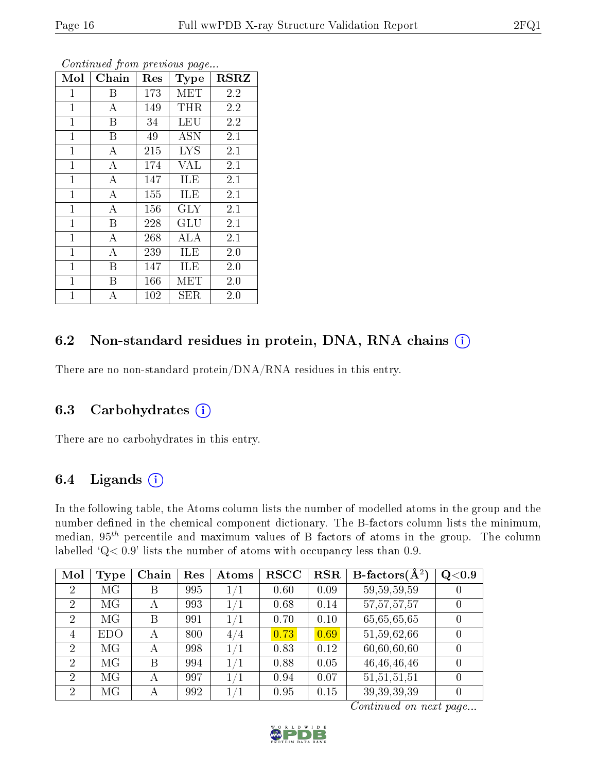| Mol          | Chain    | Res | Type       | <b>RSRZ</b> |
|--------------|----------|-----|------------|-------------|
| $\mathbf{1}$ | Β        | 173 | <b>MET</b> | 2.2         |
| $\mathbf 1$  | А        | 149 | THR        | 2.2         |
| $\mathbf{1}$ | B        | 34  | <b>LEU</b> | 2.2         |
| $\mathbf{1}$ | B        | 49  | ASN        | 2.1         |
| $\mathbf 1$  | А        | 215 | <b>LYS</b> | 2.1         |
| $\mathbf{1}$ | A        | 174 | VAL        | 2.1         |
| $\mathbf{1}$ | A        | 147 | ILE        | 2.1         |
| $\mathbf{1}$ | А        | 155 | ILE        | 2.1         |
| $\mathbf{1}$ | $\bf{A}$ | 156 | $\rm GLY$  | 2.1         |
| $\mathbf{1}$ | B        | 228 | GLU        | 2.1         |
| $\mathbf{1}$ | А        | 268 | ALA        | 2.1         |
| $\mathbf{1}$ | A        | 239 | ILE        | 2.0         |
| $\mathbf 1$  | B        | 147 | ILE        | 2.0         |
| $\mathbf{1}$ | Β        | 166 | MET        | 2.0         |
| 1            | А        | 102 | SER        | 2.0         |

Continued from previous page...

### 6.2 Non-standard residues in protein, DNA, RNA chains (i)

There are no non-standard protein/DNA/RNA residues in this entry.

### 6.3 Carbohydrates  $(i)$

There are no carbohydrates in this entry.

### 6.4 Ligands  $(i)$

In the following table, the Atoms column lists the number of modelled atoms in the group and the number defined in the chemical component dictionary. The B-factors column lists the minimum, median,  $95<sup>th</sup>$  percentile and maximum values of B factors of atoms in the group. The column labelled 'Q< 0.9' lists the number of atoms with occupancy less than 0.9.

| Mol            | Type       | Chain | Res | Atoms   | <b>RSCC</b> | <b>RSR</b> | B-factors $\overline{(\mathbf{A}^2)}$ | Q <sub>0.9</sub> |
|----------------|------------|-------|-----|---------|-------------|------------|---------------------------------------|------------------|
| $\overline{2}$ | MG         | В     | 995 | $1/1\,$ | 0.60        | 0.09       | 59, 59, 59, 59                        | $\overline{0}$   |
| $\overline{2}$ | MG         | А     | 993 | 1/1     | 0.68        | 0.14       | 57, 57, 57, 57                        | $\overline{0}$   |
| $\overline{2}$ | MG         | B     | 991 | 1/1     | 0.70        | 0.10       | 65,65,65,65                           | $\overline{0}$   |
| 4              | <b>EDO</b> | А     | 800 | 4/4     | 0.73        | 0.69       | 51,59,62,66                           | $\overline{0}$   |
| $\overline{2}$ | MG         | А     | 998 | 1/1     | 0.83        | 0.12       | 60,60,60,60                           | $\theta$         |
| $\overline{2}$ | MG         | В     | 994 | $1/1\,$ | 0.88        | 0.05       | 46, 46, 46, 46                        | $\overline{0}$   |
| $\overline{2}$ | MG         | А     | 997 | $1/1\,$ | 0.94        | 0.07       | 51, 51, 51, 51                        | $\theta$         |
| $\overline{2}$ | MG         | А     | 992 | 1/1     | 0.95        | 0.15       | 39, 39, 39, 39                        | $\overline{0}$   |